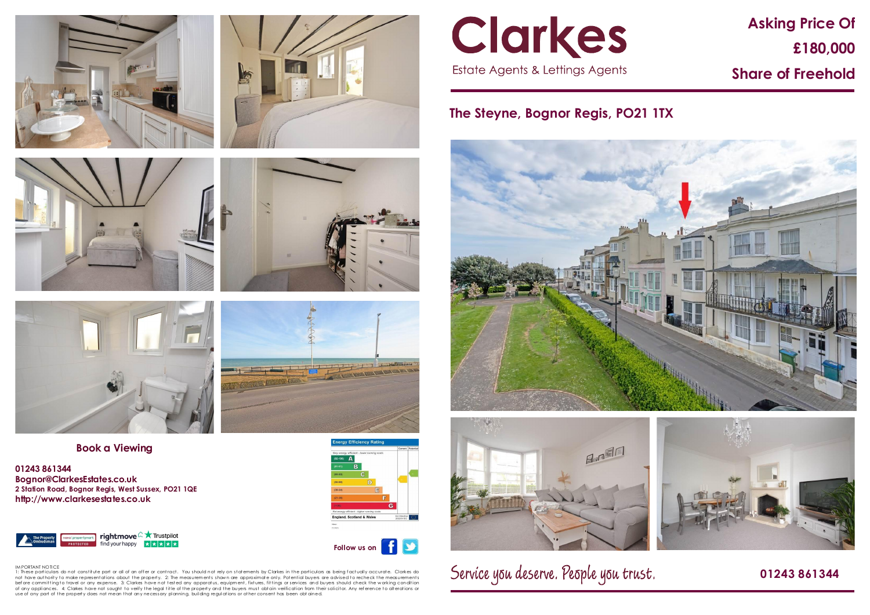# **Asking Price Of £180,000 Share of Freehold**

## **The Steyne, Bognor Regis, PO21 1TX**





Service you deserve. People you trust.

### **01243 861344**









**Book a Viewing**

**01243 861344 Bognor@ClarkesEstates.co.uk 2 Station Road, Bognor Regis, West Sussex, PO21 1QE http://www.clarkesestates.co.uk**





 $\vert f \vert$ **Follow us on**S



IM PORTANT NOTICE<br>1: These particulars do not constitute part or all of an offer or contract. You should not rely on statements by Clarkes in the particulars as being factually accurate. Clarkes do not have authority to make representations about the property. 2: The measurements shown are approximate only. Potential buyers are advised to recheck the measurements before committingto travel or any expense. 3: Clarkes have not tested any apparatus, equipment, fixtures, fittings or services and buyers should check the working condition<br>of any appliances. 4: Clarkes have not sought to use of any part of the property does not mean that any necessary planning, building regulations or other consent has been obt ained.